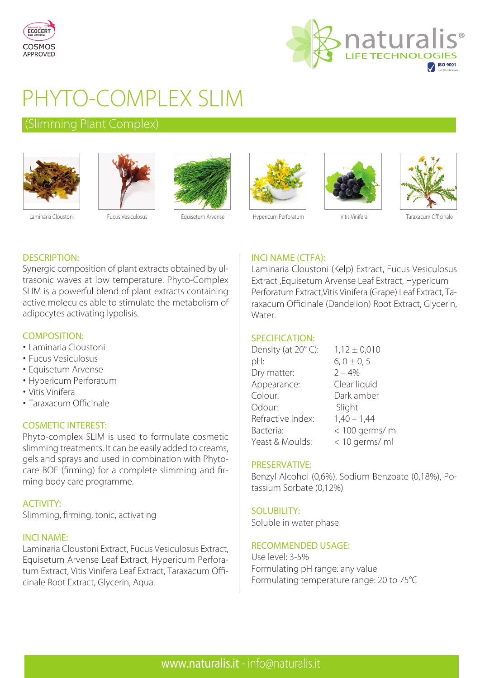



# PHYTO-COMPLEX SLIM

# (Slimming Plant Complex)









Laminaria Cloustoni Fucus Vesiculosus Equisetum Arvense Hypericum Perforatum Vitis Vinifera Taraxacum Officinale

# DESCRIPTION:

Synergic composition of plant extracts obtained by ultrasonic waves at low temperature. Phyto-Complex SLIM is a powerful blend of plant extracts containing active molecules able to stimulate the metabolism of adipocytes activating lypolisis.

# COMPOSITION:

- Laminaria Cloustoni
- Fucus Vesiculosus
- Equisetum Arvense
- Hypericum Perforatum
- Vitis Vinifera
- Taraxacum Officinale

# COSMETIC INTEREST:

Phyto-complex SLIM is used to formulate cosmetic slimming treatments. It can be easily added to creams, gels and sprays and used in combination with Phytocare BOF (firming) for a complete slimming and firming body care programme.

# ACTIVITY:

Slimming, firming, tonic, activating

#### INCI NAME:

Laminaria Cloustoni Extract, Fucus Vesiculosus Extract, Equisetum Arvense Leaf Extract, Hypericum Perforatum Extract, Vitis Vinifera Leaf Extract, Taraxacum Officinale Root Extract, Glycerin, Aqua.

# INCI NAME (CTFA):

Laminaria Cloustoni (Kelp) Extract, Fucus Vesiculosus Extract ,Equisetum Arvense Leaf Extract, Hypericum Perforatum Extract,Vitis Vinifera (Grape) Leaf Extract, Taraxacum Officinale (Dandelion) Root Extract, Glycerin, Water.

#### SPECIFICATION:

| Density (at 20°C): | $1,12 \pm 0,010$ |
|--------------------|------------------|
| pH:                | $6, 0 \pm 0, 5$  |
| Dry matter:        | $2 - 4%$         |
| Appearance:        | Clear liquid     |
| Colour:            | Dark amber       |
| Odour:             | Slight           |
| Refractive index:  | $1,40 - 1,44$    |
| Bacteria:          | < 100 germs/ ml  |
| Yeast & Moulds:    | < 10 germs/ ml   |

#### PRESERVATIVE:

Benzyl Alcohol (0,6%), Sodium Benzoate (0,18%), Potassium Sorbate (0,12%)

# SOLUBILITY:

Soluble in water phase

#### RECOMMENDED USAGE:

Use level: 3-5% Formulating pH range: any value Formulating temperature range: 20 to 75°C